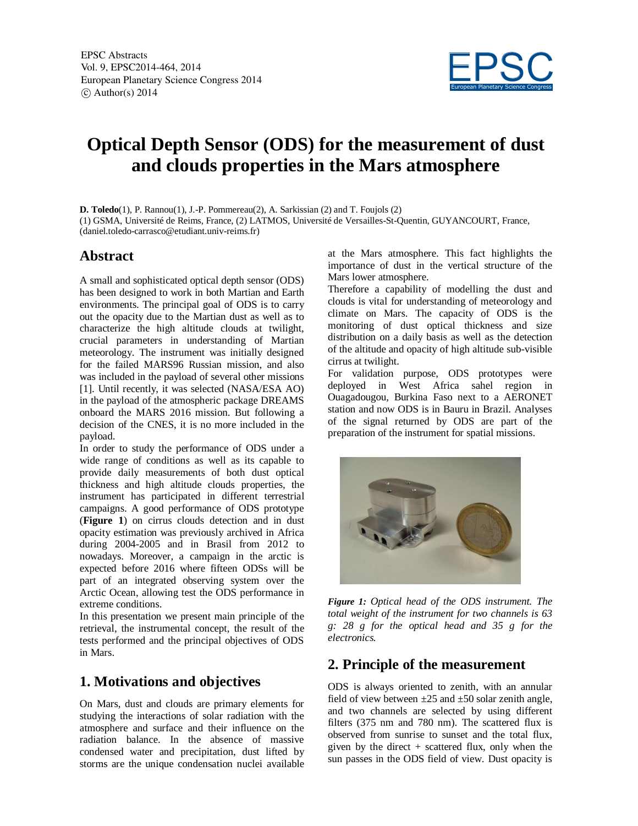

# **Optical Depth Sensor (ODS) for the measurement of dust and clouds properties in the Mars atmosphere**

**D. Toledo**(1), P. Rannou(1), J.-P. Pommereau(2), A. Sarkissian (2) and T. Foujols (2)

(1) GSMA, Université de Reims, France, (2) LATMOS, Université de Versailles-St-Quentin, GUYANCOURT, France, (daniel.toledo-carrasco@etudiant.univ-reims.fr)

#### **Abstract**

A small and sophisticated optical depth sensor (ODS) has been designed to work in both Martian and Earth environments. The principal goal of ODS is to carry out the opacity due to the Martian dust as well as to characterize the high altitude clouds at twilight, crucial parameters in understanding of Martian meteorology. The instrument was initially designed for the failed MARS96 Russian mission, and also was included in the payload of several other missions [1]. Until recently, it was selected (NASA/ESA AO) in the payload of the atmospheric package DREAMS onboard the MARS 2016 mission. But following a decision of the CNES, it is no more included in the payload.

In order to study the performance of ODS under a wide range of conditions as well as its capable to provide daily measurements of both dust optical thickness and high altitude clouds properties, the instrument has participated in different terrestrial campaigns. A good performance of ODS prototype (**Figure 1**) on cirrus clouds detection and in dust opacity estimation was previously archived in Africa during 2004-2005 and in Brasil from 2012 to nowadays. Moreover, a campaign in the arctic is expected before 2016 where fifteen ODSs will be part of an integrated observing system over the Arctic Ocean, allowing test the ODS performance in extreme conditions.

In this presentation we present main principle of the retrieval, the instrumental concept, the result of the tests performed and the principal objectives of ODS in Mars.

## **1. Motivations and objectives**

On Mars, dust and clouds are primary elements for studying the interactions of solar radiation with the atmosphere and surface and their influence on the radiation balance. In the absence of massive condensed water and precipitation, dust lifted by storms are the unique condensation nuclei available at the Mars atmosphere. This fact highlights the importance of dust in the vertical structure of the Mars lower atmosphere.

Therefore a capability of modelling the dust and clouds is vital for understanding of meteorology and climate on Mars. The capacity of ODS is the monitoring of dust optical thickness and size distribution on a daily basis as well as the detection of the altitude and opacity of high altitude sub-visible cirrus at twilight.

For validation purpose, ODS prototypes were deployed in West Africa sahel region in Ouagadougou, Burkina Faso next to a AERONET station and now ODS is in Bauru in Brazil. Analyses of the signal returned by ODS are part of the preparation of the instrument for spatial missions.



*Figure 1: Optical head of the ODS instrument. The total weight of the instrument for two channels is 63 g: 28 g for the optical head and 35 g for the electronics.*

## **2. Principle of the measurement**

ODS is always oriented to zenith, with an annular field of view between  $\pm 25$  and  $\pm 50$  solar zenith angle, and two channels are selected by using different filters (375 nm and 780 nm). The scattered flux is observed from sunrise to sunset and the total flux, given by the direct + scattered flux, only when the sun passes in the ODS field of view. Dust opacity is